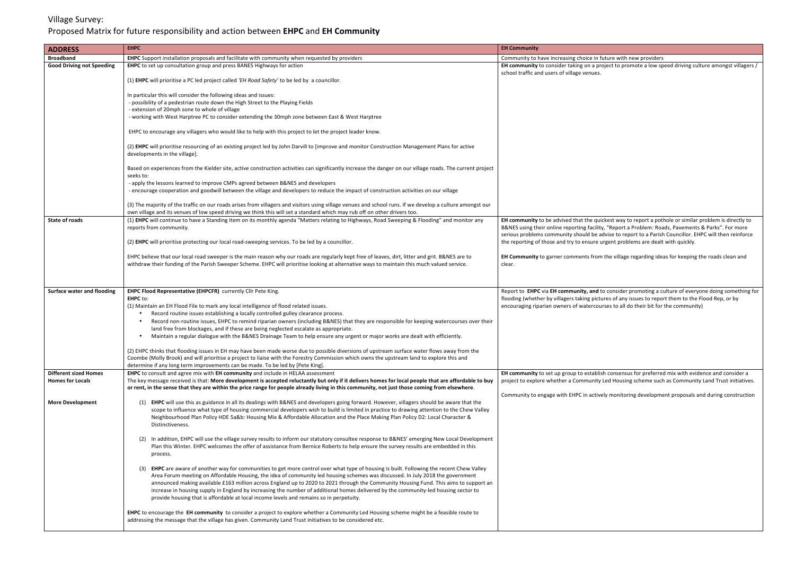## Village Survey: Proposed Matrix for future responsibility and action between EHPC and EH Community

| <b>ADDRESS</b>                    | <b>EHPC</b>                                                                                                                                                                                                                                                                                                                                                                                                                                                                                                                                                                                                                                                                                                                                                                                                                                                                                                                      | <b>EH Community</b>                                                                                                            |
|-----------------------------------|----------------------------------------------------------------------------------------------------------------------------------------------------------------------------------------------------------------------------------------------------------------------------------------------------------------------------------------------------------------------------------------------------------------------------------------------------------------------------------------------------------------------------------------------------------------------------------------------------------------------------------------------------------------------------------------------------------------------------------------------------------------------------------------------------------------------------------------------------------------------------------------------------------------------------------|--------------------------------------------------------------------------------------------------------------------------------|
| <b>Broadband</b>                  | EHPC Support installation proposals and facilitate with community when requested by providers                                                                                                                                                                                                                                                                                                                                                                                                                                                                                                                                                                                                                                                                                                                                                                                                                                    | Community to have increasing choice in                                                                                         |
| <b>Good Driving not Speeding</b>  | <b>EHPC</b> to set up consultation group and press BANES Highways for action                                                                                                                                                                                                                                                                                                                                                                                                                                                                                                                                                                                                                                                                                                                                                                                                                                                     | EH community to consider taking on a pr                                                                                        |
|                                   | (1) EHPC will prioritise a PC led project called 'EH Road Safety' to be led by a councillor.                                                                                                                                                                                                                                                                                                                                                                                                                                                                                                                                                                                                                                                                                                                                                                                                                                     | school traffic and users of village venues.                                                                                    |
|                                   | In particular this will consider the following ideas and issues:<br>- possibility of a pedestrian route down the High Street to the Playing Fields                                                                                                                                                                                                                                                                                                                                                                                                                                                                                                                                                                                                                                                                                                                                                                               |                                                                                                                                |
|                                   | - extension of 20mph zone to whole of village<br>- working with West Harptree PC to consider extending the 30mph zone between East & West Harptree                                                                                                                                                                                                                                                                                                                                                                                                                                                                                                                                                                                                                                                                                                                                                                               |                                                                                                                                |
|                                   | EHPC to encourage any villagers who would like to help with this project to let the project leader know.                                                                                                                                                                                                                                                                                                                                                                                                                                                                                                                                                                                                                                                                                                                                                                                                                         |                                                                                                                                |
|                                   | (2) EHPC will prioritise resourcing of an existing project led by John Darvill to [improve and monitor Construction Management Plans for active<br>developments in the village].                                                                                                                                                                                                                                                                                                                                                                                                                                                                                                                                                                                                                                                                                                                                                 |                                                                                                                                |
|                                   | Based on experiences from the Kielder site, active construction activities can significantly increase the danger on our village roads. The current project<br>seeks to:                                                                                                                                                                                                                                                                                                                                                                                                                                                                                                                                                                                                                                                                                                                                                          |                                                                                                                                |
|                                   | - apply the lessons learned to improve CMPs agreed between B&NES and developers<br>- encourage cooperation and goodwill between the village and developers to reduce the impact of construction activities on our village                                                                                                                                                                                                                                                                                                                                                                                                                                                                                                                                                                                                                                                                                                        |                                                                                                                                |
|                                   | (3) The majority of the traffic on our roads arises from villagers and visitors using village venues and school runs. If we develop a culture amongst our<br>own village and its venues of low speed driving we think this will set a standard which may rub off on other drivers too.                                                                                                                                                                                                                                                                                                                                                                                                                                                                                                                                                                                                                                           |                                                                                                                                |
| <b>State of roads</b>             | (1) EHPC will continue to have a Standing Item on its monthly agenda "Matters relating to Highways, Road Sweeping & Flooding" and monitor any<br>reports from community.                                                                                                                                                                                                                                                                                                                                                                                                                                                                                                                                                                                                                                                                                                                                                         | EH community to be advised that the qu<br>B&NES using their online reporting facilit<br>serious problems community should be a |
|                                   | (2) EHPC will prioritise protecting our local road-sweeping services. To be led by a councillor.                                                                                                                                                                                                                                                                                                                                                                                                                                                                                                                                                                                                                                                                                                                                                                                                                                 | the reporting of those and try to ensure                                                                                       |
|                                   | EHPC believe that our local road sweeper is the main reason why our roads are regularly kept free of leaves, dirt, litter and grit. B&NES are to<br>withdraw their funding of the Parish Sweeper Scheme. EHPC will prioritise looking at alternative ways to maintain this much valued service.                                                                                                                                                                                                                                                                                                                                                                                                                                                                                                                                                                                                                                  | EH Community to garner comments fron<br>clear.                                                                                 |
| <b>Surface water and flooding</b> | EHPC Flood Representative (EHPCFR) currently Cllr Pete King.<br><b>EHPC</b> to:<br>(1) Maintain an EH Flood File to mark any local intelligence of flood related issues.<br>Record routine issues establishing a locally controlled gulley clearance process.<br>Record non-routine issues, EHPC to remind riparian owners (including B&NES) that they are responsible for keeping watercourses over their<br>land free from blockages, and if these are being neglected escalate as appropriate.<br>Maintain a regular dialogue with the B&NES Drainage Team to help ensure any urgent or major works are dealt with efficiently.<br>(2) EHPC thinks that flooding issues in EH may have been made worse due to possible diversions of upstream surface water flows away from the<br>Coombe (Molly Brook) and will prioritise a project to liaise with the Forestry Commission which owns the upstream land to explore this and | Report to EHPC via EH community, and<br>flooding (whether by villagers taking pict<br>encouraging riparian owners of watercou  |
| <b>Different sized Homes</b>      | determine if any long term improvements can be made. To be led by [Pete King].<br>EHPC to consult and agree mix with EH community and include in HELAA assessment                                                                                                                                                                                                                                                                                                                                                                                                                                                                                                                                                                                                                                                                                                                                                                |                                                                                                                                |
| <b>Homes for Locals</b>           | The key message received is that: More development is accepted reluctantly but only if it delivers homes for local people that are affordable to buy<br>or rent, in the sense that they are within the price range for people already living in this community, not just those coming from elsewhere.                                                                                                                                                                                                                                                                                                                                                                                                                                                                                                                                                                                                                            | EH community to set up group to establi<br>project to explore whether a Community                                              |
| <b>More Development</b>           | (1) EHPC will use this as guidance in all its dealings with B&NES and developers going forward. However, villagers should be aware that the<br>scope to influence what type of housing commercial developers wish to build is limited in practice to drawing attention to the Chew Valley<br>Neighbourhood Plan Policy HDE 5a&b: Housing Mix & Affordable Allocation and the Place Making Plan Policy D2: Local Character &<br>Distinctiveness.                                                                                                                                                                                                                                                                                                                                                                                                                                                                                  | Community to engage with EHPC in activ                                                                                         |
|                                   | (2) In addition, EHPC will use the village survey results to inform our statutory consultee response to B&NES' emerging New Local Development<br>Plan this Winter. EHPC welcomes the offer of assistance from Bernice Roberts to help ensure the survey results are embedded in this<br>process.                                                                                                                                                                                                                                                                                                                                                                                                                                                                                                                                                                                                                                 |                                                                                                                                |
|                                   | EHPC are aware of another way for communities to get more control over what type of housing is built. Following the recent Chew Valley<br>(3)<br>Area Forum meeting on Affordable Housing, the idea of community led housing schemes was discussed. In July 2018 the government<br>announced making available £163 million across England up to 2020 to 2021 through the Community Housing Fund. This aims to support an<br>increase in housing supply in England by increasing the number of additional homes delivered by the community-led housing sector to<br>provide housing that is affordable at local income levels and remains so in perpetuity.                                                                                                                                                                                                                                                                       |                                                                                                                                |
|                                   | EHPC to encourage the EH community to consider a project to explore whether a Community Led Housing scheme might be a feasible route to<br>addressing the message that the village has given. Community Land Trust initiatives to be considered etc.                                                                                                                                                                                                                                                                                                                                                                                                                                                                                                                                                                                                                                                                             |                                                                                                                                |

**I** future with new providers **Ehigh or the promote a low speed driving culture amongst villagers /** 

uickest way to report a pothole or similar problem is directly to ity, "Report a Problem: Roads, Pavements & Parks". For more advise to report to a Parish Councillor. EHPC will then reinforce thethethore inglems are dealt with quickly.

Im the village regarding ideas for keeping the roads clean and

If to consider promoting a culture of everyone doing something for tures of any issues to report them to the Flood Rep, or by burses to all do their bit for the community)

lish consensus for preferred mix with evidence and consider a ty Led Housing scheme such as Community Land Trust initiatives.

vely monitoring development proposals and during construction